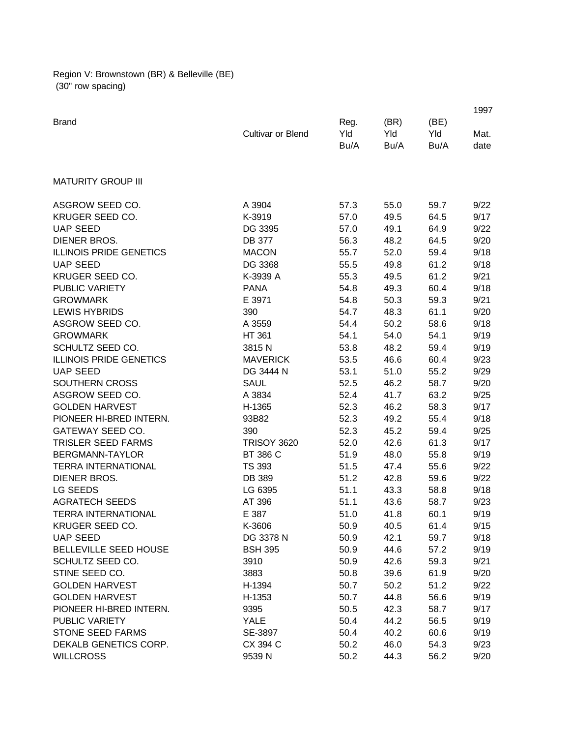Region V: Brownstown (BR) & Belleville (BE) (30" row spacing)

|                                |                    |      |      |      | 1997 |
|--------------------------------|--------------------|------|------|------|------|
| <b>Brand</b>                   |                    | Reg. | (BR) | (BE) |      |
|                                | Cultivar or Blend  | Yld  | Yld  | Yld  | Mat. |
|                                |                    | Bu/A | Bu/A | Bu/A | date |
|                                |                    |      |      |      |      |
| <b>MATURITY GROUP III</b>      |                    |      |      |      |      |
| ASGROW SEED CO.                | A 3904             | 57.3 | 55.0 | 59.7 | 9/22 |
| KRUGER SEED CO.                | K-3919             | 57.0 | 49.5 | 64.5 | 9/17 |
| <b>UAP SEED</b>                | DG 3395            | 57.0 | 49.1 | 64.9 | 9/22 |
| DIENER BROS.                   | DB 377             | 56.3 | 48.2 | 64.5 | 9/20 |
| <b>ILLINOIS PRIDE GENETICS</b> | <b>MACON</b>       | 55.7 | 52.0 | 59.4 | 9/18 |
| <b>UAP SEED</b>                | DG 3368            | 55.5 | 49.8 | 61.2 | 9/18 |
| KRUGER SEED CO.                | K-3939 A           | 55.3 | 49.5 | 61.2 | 9/21 |
| <b>PUBLIC VARIETY</b>          | <b>PANA</b>        | 54.8 | 49.3 | 60.4 | 9/18 |
| <b>GROWMARK</b>                | E 3971             | 54.8 | 50.3 | 59.3 | 9/21 |
| <b>LEWIS HYBRIDS</b>           | 390                | 54.7 | 48.3 | 61.1 | 9/20 |
| ASGROW SEED CO.                | A 3559             | 54.4 | 50.2 | 58.6 | 9/18 |
| <b>GROWMARK</b>                | HT 361             | 54.1 | 54.0 | 54.1 | 9/19 |
| SCHULTZ SEED CO.               | 3815N              | 53.8 | 48.2 | 59.4 | 9/19 |
| <b>ILLINOIS PRIDE GENETICS</b> | <b>MAVERICK</b>    | 53.5 | 46.6 | 60.4 | 9/23 |
| <b>UAP SEED</b>                | DG 3444 N          | 53.1 | 51.0 | 55.2 | 9/29 |
| SOUTHERN CROSS                 | <b>SAUL</b>        | 52.5 | 46.2 | 58.7 | 9/20 |
| ASGROW SEED CO.                | A 3834             | 52.4 | 41.7 | 63.2 | 9/25 |
| <b>GOLDEN HARVEST</b>          | H-1365             | 52.3 | 46.2 | 58.3 | 9/17 |
| PIONEER HI-BRED INTERN.        | 93B82              | 52.3 | 49.2 | 55.4 | 9/18 |
| GATEWAY SEED CO.               | 390                | 52.3 | 45.2 | 59.4 | 9/25 |
| <b>TRISLER SEED FARMS</b>      | <b>TRISOY 3620</b> | 52.0 | 42.6 | 61.3 | 9/17 |
| BERGMANN-TAYLOR                | BT 386 C           | 51.9 | 48.0 | 55.8 | 9/19 |
| <b>TERRA INTERNATIONAL</b>     | <b>TS 393</b>      | 51.5 | 47.4 | 55.6 | 9/22 |
| DIENER BROS.                   | DB 389             | 51.2 | 42.8 | 59.6 | 9/22 |
| LG SEEDS                       | LG 6395            | 51.1 | 43.3 | 58.8 | 9/18 |
| <b>AGRATECH SEEDS</b>          | AT 396             | 51.1 | 43.6 | 58.7 | 9/23 |
| <b>TERRA INTERNATIONAL</b>     | E 387              | 51.0 | 41.8 | 60.1 | 9/19 |
| KRUGER SEED CO.                | K-3606             | 50.9 | 40.5 | 61.4 | 9/15 |
| <b>UAP SEED</b>                | DG 3378 N          | 50.9 | 42.1 | 59.7 | 9/18 |
| BELLEVILLE SEED HOUSE          | <b>BSH 395</b>     | 50.9 | 44.6 | 57.2 | 9/19 |
| SCHULTZ SEED CO.               | 3910               | 50.9 | 42.6 | 59.3 | 9/21 |
| STINE SEED CO.                 | 3883               | 50.8 | 39.6 | 61.9 | 9/20 |
| <b>GOLDEN HARVEST</b>          | H-1394             | 50.7 | 50.2 | 51.2 | 9/22 |
| <b>GOLDEN HARVEST</b>          | H-1353             | 50.7 | 44.8 | 56.6 | 9/19 |
| PIONEER HI-BRED INTERN.        | 9395               | 50.5 | 42.3 | 58.7 | 9/17 |
| PUBLIC VARIETY                 | <b>YALE</b>        | 50.4 | 44.2 | 56.5 | 9/19 |
| <b>STONE SEED FARMS</b>        | SE-3897            | 50.4 | 40.2 | 60.6 | 9/19 |
| DEKALB GENETICS CORP.          | CX 394 C           | 50.2 | 46.0 | 54.3 | 9/23 |
| <b>WILLCROSS</b>               | 9539 N             | 50.2 | 44.3 | 56.2 | 9/20 |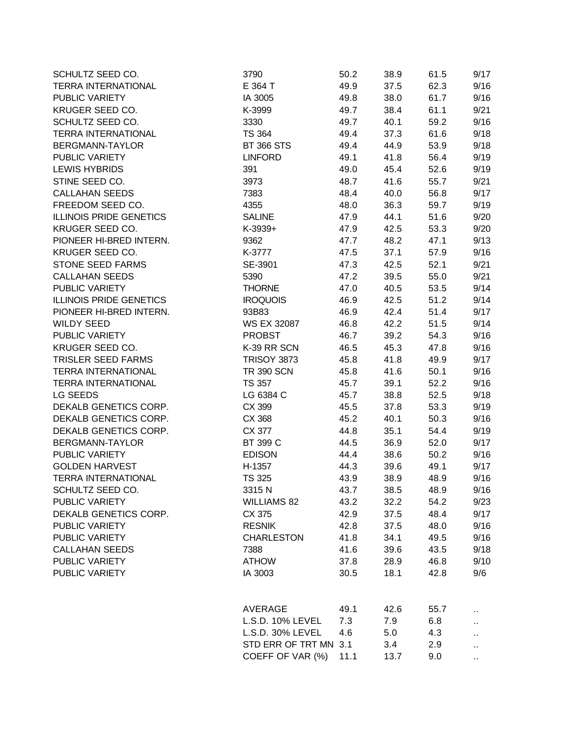| SCHULTZ SEED CO.               | 3790                  | 50.2 | 38.9 | 61.5 | 9/17                 |
|--------------------------------|-----------------------|------|------|------|----------------------|
| <b>TERRA INTERNATIONAL</b>     | E 364 T               | 49.9 | 37.5 | 62.3 | 9/16                 |
| PUBLIC VARIETY                 | IA 3005               | 49.8 | 38.0 | 61.7 | 9/16                 |
| KRUGER SEED CO.                | K-3999                | 49.7 | 38.4 | 61.1 | 9/21                 |
| SCHULTZ SEED CO.               | 3330                  | 49.7 | 40.1 | 59.2 | 9/16                 |
| <b>TERRA INTERNATIONAL</b>     | <b>TS 364</b>         | 49.4 | 37.3 | 61.6 | 9/18                 |
| BERGMANN-TAYLOR                | <b>BT 366 STS</b>     | 49.4 | 44.9 | 53.9 | 9/18                 |
| PUBLIC VARIETY                 | <b>LINFORD</b>        | 49.1 | 41.8 | 56.4 | 9/19                 |
| <b>LEWIS HYBRIDS</b>           | 391                   | 49.0 | 45.4 | 52.6 | 9/19                 |
| STINE SEED CO.                 | 3973                  | 48.7 | 41.6 | 55.7 | 9/21                 |
| <b>CALLAHAN SEEDS</b>          | 7383                  | 48.4 | 40.0 | 56.8 | 9/17                 |
| FREEDOM SEED CO.               | 4355                  | 48.0 | 36.3 | 59.7 | 9/19                 |
| <b>ILLINOIS PRIDE GENETICS</b> | <b>SALINE</b>         | 47.9 | 44.1 | 51.6 | 9/20                 |
| KRUGER SEED CO.                | K-3939+               | 47.9 | 42.5 | 53.3 | 9/20                 |
| PIONEER HI-BRED INTERN.        | 9362                  | 47.7 | 48.2 | 47.1 | 9/13                 |
| KRUGER SEED CO.                | K-3777                | 47.5 | 37.1 | 57.9 | 9/16                 |
| <b>STONE SEED FARMS</b>        | SE-3901               | 47.3 | 42.5 | 52.1 | 9/21                 |
| <b>CALLAHAN SEEDS</b>          | 5390                  | 47.2 | 39.5 | 55.0 | 9/21                 |
| PUBLIC VARIETY                 | <b>THORNE</b>         | 47.0 | 40.5 | 53.5 | 9/14                 |
| <b>ILLINOIS PRIDE GENETICS</b> | <b>IROQUOIS</b>       | 46.9 | 42.5 | 51.2 | 9/14                 |
| PIONEER HI-BRED INTERN.        | 93B83                 | 46.9 | 42.4 | 51.4 | 9/17                 |
| <b>WILDY SEED</b>              | <b>WS EX 32087</b>    | 46.8 | 42.2 | 51.5 | 9/14                 |
| PUBLIC VARIETY                 | <b>PROBST</b>         | 46.7 | 39.2 | 54.3 | 9/16                 |
| KRUGER SEED CO.                | K-39 RR SCN           | 46.5 | 45.3 | 47.8 | 9/16                 |
| TRISLER SEED FARMS             | <b>TRISOY 3873</b>    | 45.8 | 41.8 | 49.9 | 9/17                 |
| <b>TERRA INTERNATIONAL</b>     | <b>TR 390 SCN</b>     | 45.8 | 41.6 | 50.1 | 9/16                 |
| <b>TERRA INTERNATIONAL</b>     | <b>TS 357</b>         | 45.7 | 39.1 | 52.2 | 9/16                 |
| LG SEEDS                       | LG 6384 C             | 45.7 | 38.8 | 52.5 | 9/18                 |
| DEKALB GENETICS CORP.          | CX 399                | 45.5 | 37.8 | 53.3 | 9/19                 |
| DEKALB GENETICS CORP.          | CX 368                | 45.2 | 40.1 | 50.3 | 9/16                 |
| DEKALB GENETICS CORP.          | CX 377                | 44.8 | 35.1 | 54.4 | 9/19                 |
| BERGMANN-TAYLOR                | BT 399 C              | 44.5 | 36.9 | 52.0 | 9/17                 |
| PUBLIC VARIETY                 | <b>EDISON</b>         | 44.4 | 38.6 | 50.2 | 9/16                 |
| <b>GOLDEN HARVEST</b>          | H-1357                | 44.3 | 39.6 | 49.1 | 9/17                 |
| <b>TERRA INTERNATIONAL</b>     | <b>TS 325</b>         | 43.9 | 38.9 | 48.9 | 9/16                 |
| SCHULTZ SEED CO.               | 3315N                 | 43.7 | 38.5 | 48.9 | 9/16                 |
| PUBLIC VARIETY                 | <b>WILLIAMS 82</b>    | 43.2 | 32.2 | 54.2 | 9/23                 |
| DEKALB GENETICS CORP.          | CX 375                | 42.9 | 37.5 | 48.4 | 9/17                 |
| PUBLIC VARIETY                 | <b>RESNIK</b>         | 42.8 | 37.5 | 48.0 | 9/16                 |
| PUBLIC VARIETY                 | <b>CHARLESTON</b>     | 41.8 | 34.1 | 49.5 | 9/16                 |
| <b>CALLAHAN SEEDS</b>          | 7388                  | 41.6 | 39.6 | 43.5 | 9/18                 |
| PUBLIC VARIETY                 | <b>ATHOW</b>          | 37.8 | 28.9 | 46.8 | 9/10                 |
| PUBLIC VARIETY                 |                       |      |      |      |                      |
|                                | IA 3003               | 30.5 | 18.1 | 42.8 | 9/6                  |
|                                | AVERAGE               | 49.1 | 42.6 | 55.7 | ٠.                   |
|                                | L.S.D. 10% LEVEL      | 7.3  | 7.9  | 6.8  |                      |
|                                | L.S.D. 30% LEVEL      | 4.6  | 5.0  | 4.3  | н,                   |
|                                | STD ERR OF TRT MN 3.1 |      | 3.4  | 2.9  |                      |
|                                | COEFF OF VAR (%)      | 11.1 | 13.7 | 9.0  | $\ddot{\phantom{1}}$ |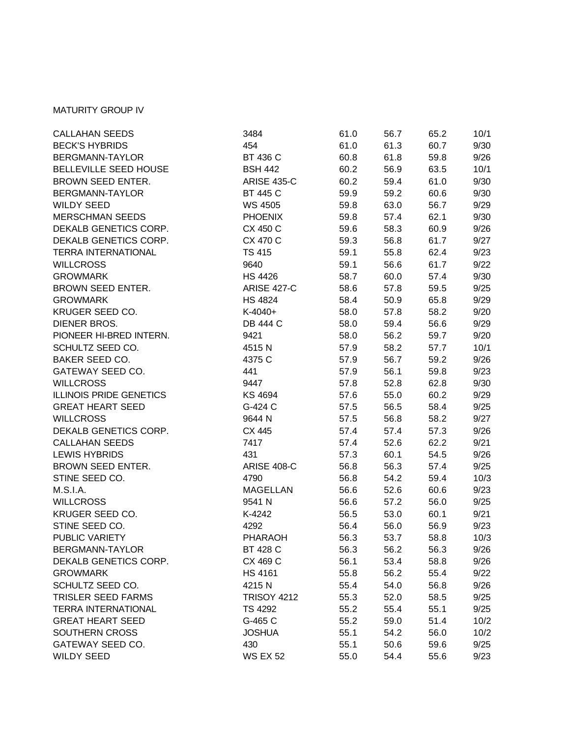## MATURITY GROUP IV

| <b>CALLAHAN SEEDS</b>          | 3484               | 61.0 | 56.7 | 65.2 | 10/1 |
|--------------------------------|--------------------|------|------|------|------|
| <b>BECK'S HYBRIDS</b>          | 454                | 61.0 | 61.3 | 60.7 | 9/30 |
| BERGMANN-TAYLOR                | BT 436 C           | 60.8 | 61.8 | 59.8 | 9/26 |
| BELLEVILLE SEED HOUSE          | <b>BSH 442</b>     | 60.2 | 56.9 | 63.5 | 10/1 |
| BROWN SEED ENTER.              | <b>ARISE 435-C</b> | 60.2 | 59.4 | 61.0 | 9/30 |
| BERGMANN-TAYLOR                | <b>BT 445 C</b>    | 59.9 | 59.2 | 60.6 | 9/30 |
| <b>WILDY SEED</b>              | WS 4505            | 59.8 | 63.0 | 56.7 | 9/29 |
| <b>MERSCHMAN SEEDS</b>         | <b>PHOENIX</b>     | 59.8 | 57.4 | 62.1 | 9/30 |
| DEKALB GENETICS CORP.          | CX 450 C           | 59.6 | 58.3 | 60.9 | 9/26 |
| DEKALB GENETICS CORP.          | CX 470 C           | 59.3 | 56.8 | 61.7 | 9/27 |
| <b>TERRA INTERNATIONAL</b>     | <b>TS 415</b>      | 59.1 | 55.8 | 62.4 | 9/23 |
| <b>WILLCROSS</b>               | 9640               | 59.1 | 56.6 | 61.7 | 9/22 |
| <b>GROWMARK</b>                | <b>HS 4426</b>     | 58.7 | 60.0 | 57.4 | 9/30 |
| BROWN SEED ENTER.              | <b>ARISE 427-C</b> | 58.6 | 57.8 | 59.5 | 9/25 |
| <b>GROWMARK</b>                | <b>HS 4824</b>     | 58.4 | 50.9 | 65.8 | 9/29 |
| KRUGER SEED CO.                | K-4040+            | 58.0 | 57.8 | 58.2 | 9/20 |
| DIENER BROS.                   | DB 444 C           | 58.0 | 59.4 | 56.6 | 9/29 |
| PIONEER HI-BRED INTERN.        | 9421               | 58.0 | 56.2 | 59.7 | 9/20 |
| SCHULTZ SEED CO.               | 4515 N             | 57.9 | 58.2 | 57.7 | 10/1 |
| <b>BAKER SEED CO.</b>          | 4375 C             | 57.9 | 56.7 | 59.2 | 9/26 |
| <b>GATEWAY SEED CO.</b>        | 441                | 57.9 | 56.1 | 59.8 | 9/23 |
| <b>WILLCROSS</b>               | 9447               | 57.8 | 52.8 | 62.8 | 9/30 |
| <b>ILLINOIS PRIDE GENETICS</b> | KS 4694            | 57.6 | 55.0 | 60.2 | 9/29 |
| <b>GREAT HEART SEED</b>        | G-424 C            | 57.5 | 56.5 | 58.4 | 9/25 |
| <b>WILLCROSS</b>               | 9644 N             | 57.5 | 56.8 | 58.2 | 9/27 |
| DEKALB GENETICS CORP.          | CX 445             | 57.4 | 57.4 | 57.3 | 9/26 |
| <b>CALLAHAN SEEDS</b>          | 7417               | 57.4 | 52.6 | 62.2 | 9/21 |
| <b>LEWIS HYBRIDS</b>           | 431                | 57.3 | 60.1 | 54.5 | 9/26 |
| BROWN SEED ENTER.              | <b>ARISE 408-C</b> | 56.8 | 56.3 | 57.4 | 9/25 |
| STINE SEED CO.                 | 4790               | 56.8 | 54.2 | 59.4 | 10/3 |
| M.S.I.A.                       | <b>MAGELLAN</b>    | 56.6 | 52.6 | 60.6 | 9/23 |
| <b>WILLCROSS</b>               | 9541 N             | 56.6 | 57.2 | 56.0 | 9/25 |
| KRUGER SEED CO.                | K-4242             | 56.5 | 53.0 | 60.1 | 9/21 |
| STINE SEED CO.                 | 4292               | 56.4 | 56.0 | 56.9 | 9/23 |
| PUBLIC VARIETY                 | PHARAOH            | 56.3 | 53.7 | 58.8 | 10/3 |
| BERGMANN-TAYLOR                | BT 428 C           | 56.3 | 56.2 | 56.3 | 9/26 |
| DEKALB GENETICS CORP.          | CX 469 C           | 56.1 | 53.4 | 58.8 | 9/26 |
| <b>GROWMARK</b>                | <b>HS 4161</b>     | 55.8 | 56.2 | 55.4 | 9/22 |
| SCHULTZ SEED CO.               | 4215N              | 55.4 | 54.0 | 56.8 | 9/26 |
| TRISLER SEED FARMS             | <b>TRISOY 4212</b> | 55.3 | 52.0 | 58.5 | 9/25 |
| <b>TERRA INTERNATIONAL</b>     | <b>TS 4292</b>     | 55.2 | 55.4 | 55.1 | 9/25 |
| <b>GREAT HEART SEED</b>        | G-465 C            | 55.2 | 59.0 | 51.4 | 10/2 |
| SOUTHERN CROSS                 | <b>JOSHUA</b>      | 55.1 | 54.2 | 56.0 | 10/2 |
| <b>GATEWAY SEED CO.</b>        | 430                | 55.1 | 50.6 | 59.6 | 9/25 |
| <b>WILDY SEED</b>              | <b>WS EX 52</b>    | 55.0 | 54.4 | 55.6 | 9/23 |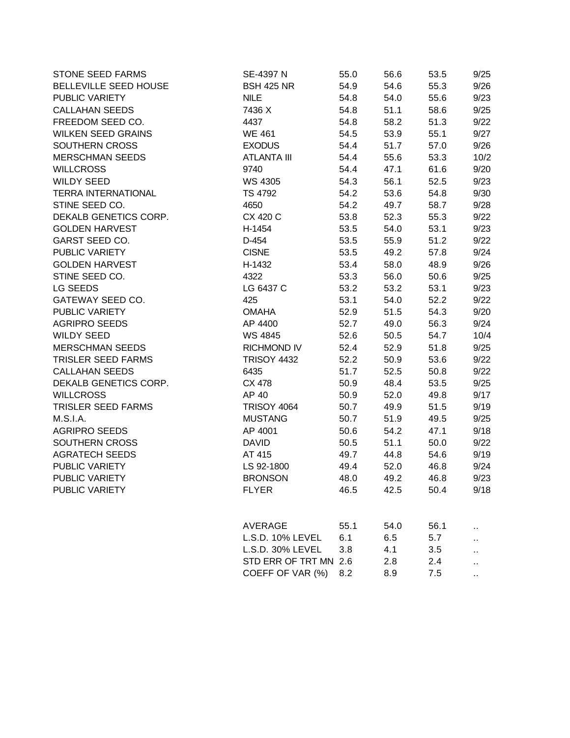| STONE SEED FARMS           | SE-4397 N             | 55.0 | 56.6 | 53.5 | 9/25 |
|----------------------------|-----------------------|------|------|------|------|
| BELLEVILLE SEED HOUSE      | <b>BSH 425 NR</b>     | 54.9 | 54.6 | 55.3 | 9/26 |
| PUBLIC VARIETY             | <b>NILE</b>           | 54.8 | 54.0 | 55.6 | 9/23 |
| <b>CALLAHAN SEEDS</b>      | 7436 X                | 54.8 | 51.1 | 58.6 | 9/25 |
| FREEDOM SEED CO.           | 4437                  | 54.8 | 58.2 | 51.3 | 9/22 |
| <b>WILKEN SEED GRAINS</b>  | <b>WE 461</b>         | 54.5 | 53.9 | 55.1 | 9/27 |
| SOUTHERN CROSS             | <b>EXODUS</b>         | 54.4 | 51.7 | 57.0 | 9/26 |
| <b>MERSCHMAN SEEDS</b>     | <b>ATLANTA III</b>    | 54.4 | 55.6 | 53.3 | 10/2 |
| <b>WILLCROSS</b>           | 9740                  | 54.4 | 47.1 | 61.6 | 9/20 |
| <b>WILDY SEED</b>          | WS 4305               | 54.3 | 56.1 | 52.5 | 9/23 |
| <b>TERRA INTERNATIONAL</b> | TS 4792               | 54.2 | 53.6 | 54.8 | 9/30 |
| STINE SEED CO.             | 4650                  | 54.2 | 49.7 | 58.7 | 9/28 |
| DEKALB GENETICS CORP.      | CX 420 C              | 53.8 | 52.3 | 55.3 | 9/22 |
| <b>GOLDEN HARVEST</b>      | H-1454                | 53.5 | 54.0 | 53.1 | 9/23 |
| <b>GARST SEED CO.</b>      | D-454                 | 53.5 | 55.9 | 51.2 | 9/22 |
| PUBLIC VARIETY             | <b>CISNE</b>          | 53.5 | 49.2 | 57.8 | 9/24 |
| <b>GOLDEN HARVEST</b>      | H-1432                | 53.4 | 58.0 | 48.9 | 9/26 |
| STINE SEED CO.             | 4322                  | 53.3 | 56.0 | 50.6 | 9/25 |
| LG SEEDS                   | LG 6437 C             | 53.2 | 53.2 | 53.1 | 9/23 |
| GATEWAY SEED CO.           | 425                   | 53.1 | 54.0 | 52.2 | 9/22 |
| PUBLIC VARIETY             | <b>OMAHA</b>          | 52.9 | 51.5 | 54.3 | 9/20 |
| <b>AGRIPRO SEEDS</b>       | AP 4400               | 52.7 | 49.0 | 56.3 | 9/24 |
| <b>WILDY SEED</b>          | WS 4845               | 52.6 | 50.5 | 54.7 | 10/4 |
| <b>MERSCHMAN SEEDS</b>     | <b>RICHMOND IV</b>    | 52.4 | 52.9 | 51.8 | 9/25 |
| <b>TRISLER SEED FARMS</b>  | <b>TRISOY 4432</b>    | 52.2 | 50.9 | 53.6 | 9/22 |
| <b>CALLAHAN SEEDS</b>      | 6435                  | 51.7 | 52.5 | 50.8 | 9/22 |
| DEKALB GENETICS CORP.      | CX 478                | 50.9 | 48.4 | 53.5 | 9/25 |
| <b>WILLCROSS</b>           | AP 40                 | 50.9 | 52.0 | 49.8 | 9/17 |
| TRISLER SEED FARMS         | <b>TRISOY 4064</b>    | 50.7 | 49.9 | 51.5 | 9/19 |
| M.S.I.A.                   | <b>MUSTANG</b>        | 50.7 | 51.9 | 49.5 | 9/25 |
| <b>AGRIPRO SEEDS</b>       | AP 4001               | 50.6 | 54.2 | 47.1 | 9/18 |
| SOUTHERN CROSS             | <b>DAVID</b>          | 50.5 | 51.1 | 50.0 | 9/22 |
| <b>AGRATECH SEEDS</b>      | AT 415                | 49.7 | 44.8 | 54.6 | 9/19 |
| PUBLIC VARIETY             | LS 92-1800            | 49.4 | 52.0 | 46.8 | 9/24 |
| PUBLIC VARIETY             | <b>BRONSON</b>        | 48.0 | 49.2 | 46.8 | 9/23 |
| PUBLIC VARIETY             | <b>FLYER</b>          | 46.5 | 42.5 | 50.4 | 9/18 |
|                            | AVERAGE               | 55.1 | 54.0 | 56.1 |      |
|                            | L.S.D. 10% LEVEL      | 6.1  | 6.5  | 5.7  |      |
|                            | L.S.D. 30% LEVEL      | 3.8  | 4.1  | 3.5  |      |
|                            | STD ERR OF TRT MN 2.6 |      | 2.8  | 2.4  |      |

COEFF OF VAR (%) 8.2 8.9 7.5 ...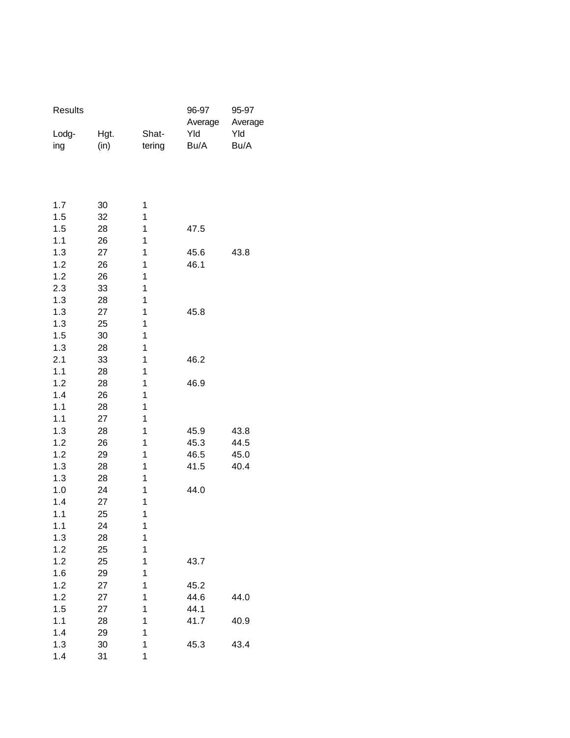| Results    |          |        | 96-97<br>Average | 95-97<br>Average |
|------------|----------|--------|------------------|------------------|
| Lodg-      | Hgt.     | Shat-  | Yld              | Yld              |
| ing        | (in)     | tering | Bu/A             | Bu/A             |
|            |          |        |                  |                  |
|            |          |        |                  |                  |
| 1.7        | 30       | 1      |                  |                  |
| 1.5        | 32       | 1      |                  |                  |
| 1.5        | 28       | 1      | 47.5             |                  |
| 1.1        | 26       | 1      |                  |                  |
| 1.3        | 27       | 1      | 45.6             | 43.8             |
| 1.2        | 26       | 1      | 46.1             |                  |
| 1.2        | 26       | 1      |                  |                  |
| 2.3        | 33       | 1      |                  |                  |
| 1.3        | 28       | 1      |                  |                  |
| 1.3        | 27       | 1      | 45.8             |                  |
| 1.3        | 25       | 1      |                  |                  |
| 1.5        | 30       | 1      |                  |                  |
| 1.3        | 28       | 1      |                  |                  |
| 2.1        | 33       | 1      | 46.2             |                  |
| 1.1<br>1.2 | 28<br>28 | 1<br>1 | 46.9             |                  |
| 1.4        | 26       | 1      |                  |                  |
| 1.1        | 28       | 1      |                  |                  |
| 1.1        | 27       | 1      |                  |                  |
| 1.3        | 28       | 1      | 45.9             | 43.8             |
| 1.2        | 26       | 1      | 45.3             | 44.5             |
| 1.2        | 29       | 1      | 46.5             | 45.0             |
| 1.3        | 28       | 1      | 41.5             | 40.4             |
| 1.3        | 28       | 1      |                  |                  |
| 1.0        | 24       | 1      | 44.0             |                  |
| 1.4        | 27       | 1      |                  |                  |
| 1.1        | 25       | 1      |                  |                  |
| 1.1        | 24       | 1      |                  |                  |
| 1.3        | 28       | 1      |                  |                  |
| 1.2        | 25       | 1      |                  |                  |
| 1.2        | 25       | 1      | 43.7             |                  |
| 1.6        | 29       | 1      |                  |                  |
| 1.2        | 27       | 1      | 45.2             |                  |
| 1.2        | 27       | 1      | 44.6             | 44.0             |
| 1.5        | 27       | 1      | 44.1             |                  |
| 1.1        | 28       | 1      | 41.7             | 40.9             |
| 1.4        | 29       | 1      |                  |                  |
| 1.3        | 30       | 1      | 45.3             | 43.4             |
| 1.4        | 31       | 1      |                  |                  |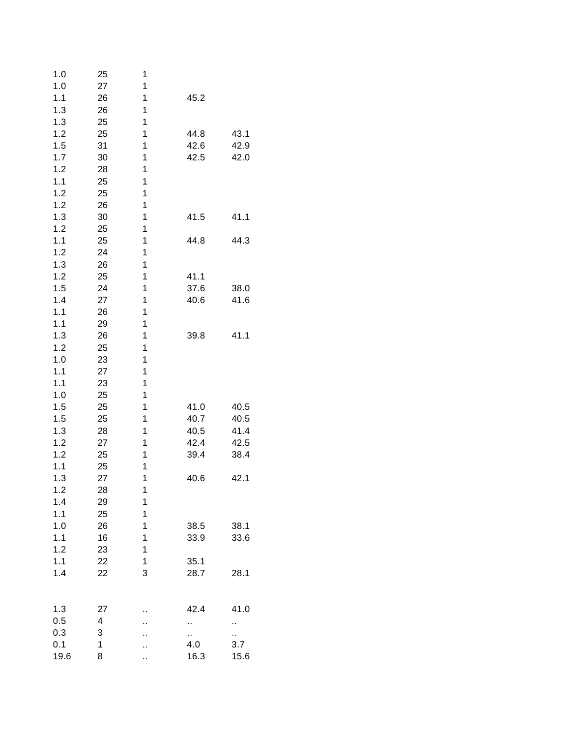| 1.0  | 25 | 1  |      |      |
|------|----|----|------|------|
| 1.0  | 27 | 1  |      |      |
| 1.1  | 26 | 1  | 45.2 |      |
| 1.3  | 26 | 1  |      |      |
| 1.3  | 25 | 1  |      |      |
| 1.2  | 25 | 1  | 44.8 | 43.1 |
| 1.5  | 31 | 1  | 42.6 | 42.9 |
| 1.7  | 30 | 1  | 42.5 | 42.0 |
| 1.2  | 28 | 1  |      |      |
| 1.1  | 25 | 1  |      |      |
| 1.2  | 25 | 1  |      |      |
| 1.2  | 26 | 1  |      |      |
| 1.3  | 30 | 1  | 41.5 | 41.1 |
|      |    |    |      |      |
| 1.2  | 25 | 1  |      |      |
| 1.1  | 25 | 1  | 44.8 | 44.3 |
| 1.2  | 24 | 1  |      |      |
| 1.3  | 26 | 1  |      |      |
| 1.2  | 25 | 1  | 41.1 |      |
| 1.5  | 24 | 1  | 37.6 | 38.0 |
| 1.4  | 27 | 1  | 40.6 | 41.6 |
| 1.1  | 26 | 1  |      |      |
| 1.1  | 29 | 1  |      |      |
| 1.3  | 26 | 1  | 39.8 | 41.1 |
| 1.2  | 25 | 1  |      |      |
| 1.0  | 23 | 1  |      |      |
| 1.1  | 27 | 1  |      |      |
| 1.1  | 23 | 1  |      |      |
| 1.0  | 25 | 1  |      |      |
| 1.5  | 25 | 1  | 41.0 | 40.5 |
| 1.5  | 25 | 1  | 40.7 | 40.5 |
| 1.3  | 28 | 1  | 40.5 | 41.4 |
| 1.2  | 27 | 1  | 42.4 | 42.5 |
| 1.2  | 25 | 1  | 39.4 | 38.4 |
| 1.1  | 25 | 1  |      |      |
| 1.3  | 27 | 1  | 40.6 | 42.1 |
| 1.2  | 28 | 1  |      |      |
| 1.4  | 29 | 1  |      |      |
| 1.1  | 25 | 1  |      |      |
| 1.0  | 26 | 1  | 38.5 | 38.1 |
| 1.1  | 16 | 1  | 33.9 | 33.6 |
|      |    | 1  |      |      |
| 1.2  | 23 |    |      |      |
| 1.1  | 22 | 1  | 35.1 |      |
| 1.4  | 22 | 3  | 28.7 | 28.1 |
| 1.3  | 27 |    | 42.4 | 41.0 |
| 0.5  | 4  |    | ò.   | Ш    |
| 0.3  | 3  |    | ò.   | ò.   |
| 0.1  | 1  |    | 4.0  | 3.7  |
| 19.6 | 8  | ., | 16.3 | 15.6 |
|      |    |    |      |      |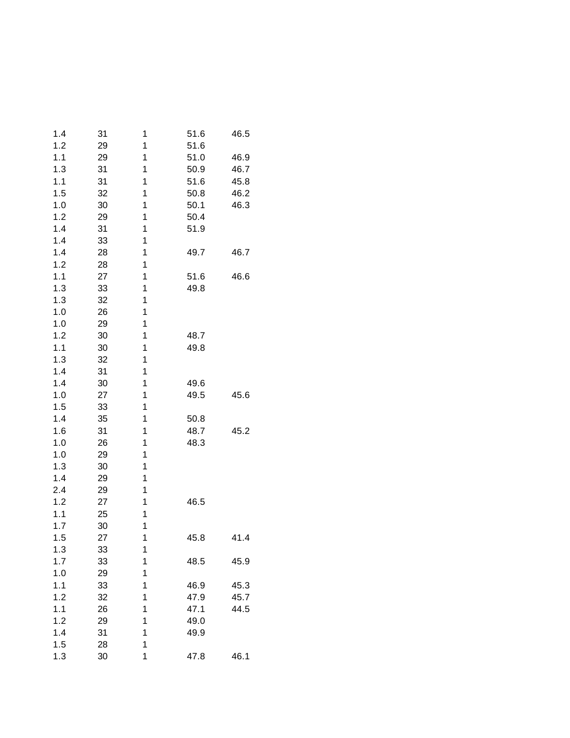| 31 | 1        | 51.6             | 46.5 |
|----|----------|------------------|------|
| 29 | 1        | 51.6             |      |
| 29 | 1        | 51.0             | 46.9 |
| 31 | 1        | 50.9             | 46.7 |
| 31 | 1        | 51.6             | 45.8 |
| 32 | 1        | 50.8             | 46.2 |
| 30 | 1        | 50.1             | 46.3 |
| 29 | 1        | 50.4             |      |
| 31 | 1        | 51.9             |      |
| 33 | 1        |                  |      |
| 28 | 1        | 49.7             | 46.7 |
| 28 | 1        |                  |      |
| 27 | 1        | 51.6             | 46.6 |
| 33 | 1        | 49.8             |      |
| 32 | 1        |                  |      |
| 26 | 1        |                  |      |
| 29 | 1        |                  |      |
| 30 | 1        | 48.7             |      |
| 30 | 1        | 49.8             |      |
| 32 | 1        |                  |      |
| 31 | 1        |                  |      |
| 30 | 1        | 49.6             |      |
| 27 | 1        | 49.5             | 45.6 |
| 33 | 1        |                  |      |
| 35 | 1        | 50.8             |      |
| 31 | 1        | 48.7             | 45.2 |
| 26 | 1        | 48.3             |      |
| 29 | 1        |                  |      |
| 30 | 1        |                  |      |
| 29 | 1        |                  |      |
| 29 | 1        |                  |      |
|    | 1        | 46.5             |      |
| 25 | 1        |                  |      |
| 30 |          |                  |      |
| 27 |          | 45.8             | 41.4 |
|    |          |                  |      |
| 33 | 1        | 48.5             | 45.9 |
| 29 |          |                  |      |
| 33 | 1        | 46.9             | 45.3 |
| 32 | 1        | 47.9             | 45.7 |
| 26 | 1        | 47.1             | 44.5 |
| 29 | 1        | 49.0             |      |
| 31 | 1        | 49.9             |      |
| 28 | 1        |                  |      |
| 30 | 1        | 47.8             | 46.1 |
|    | 27<br>33 | 1<br>1<br>1<br>1 |      |